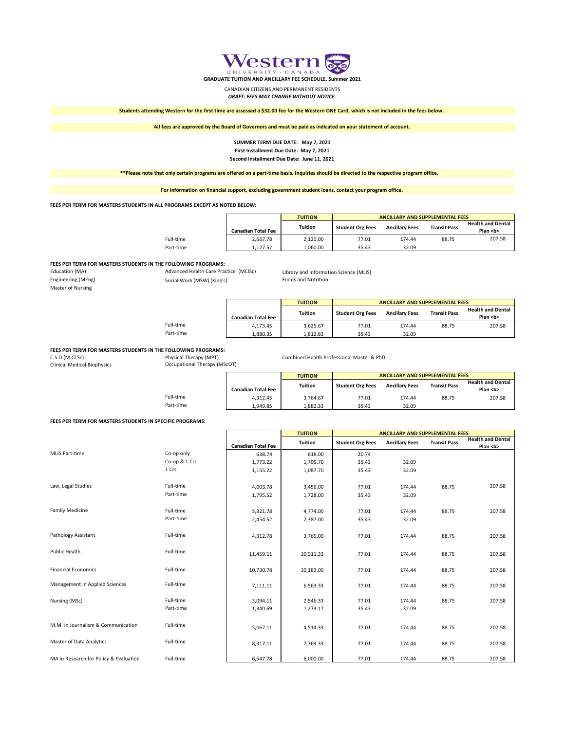

**GRADUATE TUITION AND ANCILLARY FEE SCHEDULE, Summer 2021**

CANADIAN CITIZENS AND PERMANENT RESIDENTS *DRAFT: FEES MAY CHANGE WITHOUT NOTICE*

**Students attending Western for the first time are assessed a \$32.00 fee for the Western ONE Card, which is not included in the fees below.**

**All fees are approved by the Board of Governors and must be paid as indicated on your statement of account.**

### **SUMMER TERM DUE DATE: May 7, 2021 First Installment Due Date: May 7, 2021 Second Installment Due Date: June 11, 2021**

**\*\*Please note that only certain programs are offered on a part-time basis. Inquiries should be directed to the respective program office.** 

**For information on financial support, excluding government student loans, contact your program office.**

### **FEES PER TERM FOR MASTERS STUDENTS IN ALL PROGRAMS EXCEPT AS NOTED BELOW:**

|           |                           | <b>TUITION</b> | ANCILLARY AND SUPPLEMENTAL FEES |                       |                     |                                          |  |  |  |
|-----------|---------------------------|----------------|---------------------------------|-----------------------|---------------------|------------------------------------------|--|--|--|
|           | <b>Canadian Total Fee</b> | Tuition        | <b>Student Org Fees</b>         | <b>Ancillary Fees</b> | <b>Transit Pass</b> | <b>Health and Dental</b><br>Plan <b></b> |  |  |  |
| Full-time | 2.667.78                  | 2.120.00       | 77.01                           | 174.44                | 88.75               | 207.58                                   |  |  |  |
| Part-time | 1.127.52                  | 1.060.00       | 35.43                           | 32.09                 |                     |                                          |  |  |  |

### **FEES PER TERM FOR MASTERS STUDENTS IN THE FOLLOWING PROGRAMS:**

Education (MA) **Advanced Health Care Practice (MCISc)** Library and Information Science (MLIS)<br>
Engineering (MEng) **Care Accident Care Accident Contains Containery** Cools and Nutrition Master of Nursing

# Social Work (MSW) (King's)

|           |                           | <b>TUITION</b> | ANCILLARY AND SUPPLEMENTAL FEES |                       |                     |                                          |  |
|-----------|---------------------------|----------------|---------------------------------|-----------------------|---------------------|------------------------------------------|--|
|           | <b>Canadian Total Fee</b> | Tuition        | <b>Student Org Fees</b>         | <b>Ancillary Fees</b> | <b>Transit Pass</b> | <b>Health and Dental</b><br>Plan <b></b> |  |
| Full-time | 4.173.45                  | 3.625.67       | 77.01                           | 174.44                | 88.75               | 207.58                                   |  |

# **FEES PER TERM FOR MASTERS STUDENTS IN THE FOLLOWING PROGRAMS:**<br>C.S.D.(M.Cl.Sc) Physical Therapy (MPT)

Occupational Therapy (MScOT)

C.S.D.(M.Cl.Sc) Physical Therapy (MPT) Combined Health Professional Master & PhD<br>Clinical Medical Biophysics Cocupational Therapy (MScOT) Combined Health Professional Master & PhD

Part-time 1,880.35 1,880.35 1,812.83 32.09

|           |                           | <b>TUITION</b> | ANCILLARY AND SUPPLEMENTAL FEES |                       |                     |                                          |  |  |  |
|-----------|---------------------------|----------------|---------------------------------|-----------------------|---------------------|------------------------------------------|--|--|--|
|           |                           | <b>Tuition</b> |                                 | <b>Ancillary Fees</b> |                     | <b>Health and Dental</b><br>Plan <b></b> |  |  |  |
|           | <b>Canadian Total Fee</b> |                | <b>Student Org Fees</b>         |                       | <b>Transit Pass</b> |                                          |  |  |  |
| Full-time | 4.312.45                  | 3.764.67       | 77.01                           | 174.44                | 88.75               | 207.58                                   |  |  |  |
| Part-time | 1.949.85                  | 1.882.33       | 35.43                           | 32.09                 |                     |                                          |  |  |  |

## **FEES PER TERM FOR MASTERS STUDENTS IN SPECIFIC PROGRAMS:**

|                                        |               |                           | <b>TUITION</b> | <b>ANCILLARY AND SUPPLEMENTAL FEES</b> |                       |                     |                                          |
|----------------------------------------|---------------|---------------------------|----------------|----------------------------------------|-----------------------|---------------------|------------------------------------------|
|                                        |               | <b>Canadian Total Fee</b> | <b>Tuition</b> | <b>Student Org Fees</b>                | <b>Ancillary Fees</b> | <b>Transit Pass</b> | <b>Health and Dental</b><br>Plan <b></b> |
| <b>MLIS Part-time</b>                  | Co-op only    | 638.74                    | 618.00         | 20.74                                  |                       |                     |                                          |
|                                        | Co-op & 1 Crs | 1,773.22                  | 1,705.70       | 35.43                                  | 32.09                 |                     |                                          |
|                                        | 1 Crs         | 1,155.22                  | 1,087.70       | 35.43                                  | 32.09                 |                     |                                          |
| Law, Legal Studies                     | Full-time     | 4,003.78                  | 3,456.00       | 77.01                                  | 174.44                | 88.75               | 207.58                                   |
|                                        | Part-time     | 1,795.52                  | 1,728.00       | 35.43                                  | 32.09                 |                     |                                          |
| <b>Family Medicine</b>                 | Full-time     | 5,321.78                  | 4,774.00       | 77.01                                  | 174.44                | 88.75               | 207.58                                   |
|                                        | Part-time     | 2,454.52                  | 2,387.00       | 35.43                                  | 32.09                 |                     |                                          |
| Pathology Assistant                    | Full-time     | 4,312.78                  | 3,765.00       | 77.01                                  | 174.44                | 88.75               | 207.58                                   |
| Public Health                          | Full-time     | 11,459.11                 | 10,911.33      | 77.01                                  | 174.44                | 88.75               | 207.58                                   |
| <b>Financial Economics</b>             | Full-time     | 10,730.78                 | 10,183.00      | 77.01                                  | 174.44                | 88.75               | 207.58                                   |
| Management in Applied Sciences         | Full-time     | 7,111.11                  | 6,563.33       | 77.01                                  | 174.44                | 88.75               | 207.58                                   |
| Nursing (MSc)                          | Full-time     | 3,094.11                  | 2,546.33       | 77.01                                  | 174.44                | 88.75               | 207.58                                   |
|                                        | Part-time     | 1,340.69                  | 1,273.17       | 35.43                                  | 32.09                 |                     |                                          |
| M.M. in Journalism & Communication     | Full-time     | 5,062.11                  | 4,514.33       | 77.01                                  | 174.44                | 88.75               | 207.58                                   |
| Master of Data Analytics               | Full-time     | 8,317.11                  | 7,769.33       | 77.01                                  | 174.44                | 88.75               | 207.58                                   |
| MA in Research for Policy & Evaluation | Full-time     | 6,547.78                  | 6,000.00       | 77.01                                  | 174.44                | 88.75               | 207.58                                   |